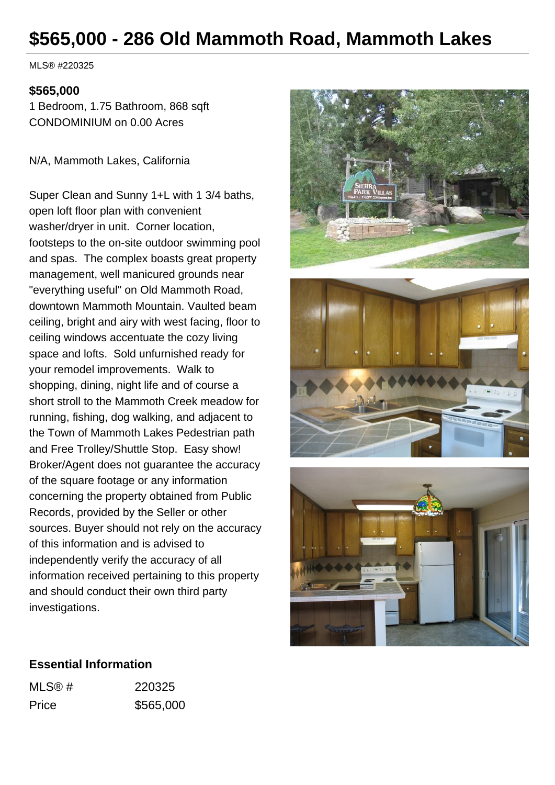# **\$565,000 - 286 Old Mammoth Road, Mammoth Lakes**

MLS® #220325

#### **\$565,000**

1 Bedroom, 1.75 Bathroom, 868 sqft CONDOMINIUM on 0.00 Acres

N/A, Mammoth Lakes, California

Super Clean and Sunny 1+L with 1 3/4 baths, open loft floor plan with convenient washer/dryer in unit. Corner location, footsteps to the on-site outdoor swimming pool and spas. The complex boasts great property management, well manicured grounds near "everything useful" on Old Mammoth Road, downtown Mammoth Mountain. Vaulted beam ceiling, bright and airy with west facing, floor to ceiling windows accentuate the cozy living space and lofts. Sold unfurnished ready for your remodel improvements. Walk to shopping, dining, night life and of course a short stroll to the Mammoth Creek meadow for running, fishing, dog walking, and adjacent to the Town of Mammoth Lakes Pedestrian path and Free Trolley/Shuttle Stop. Easy show! Broker/Agent does not guarantee the accuracy of the square footage or any information concerning the property obtained from Public Records, provided by the Seller or other sources. Buyer should not rely on the accuracy of this information and is advised to independently verify the accuracy of all information received pertaining to this property and should conduct their own third party investigations.







#### **Essential Information**

| MLS@# | 220325    |
|-------|-----------|
| Price | \$565,000 |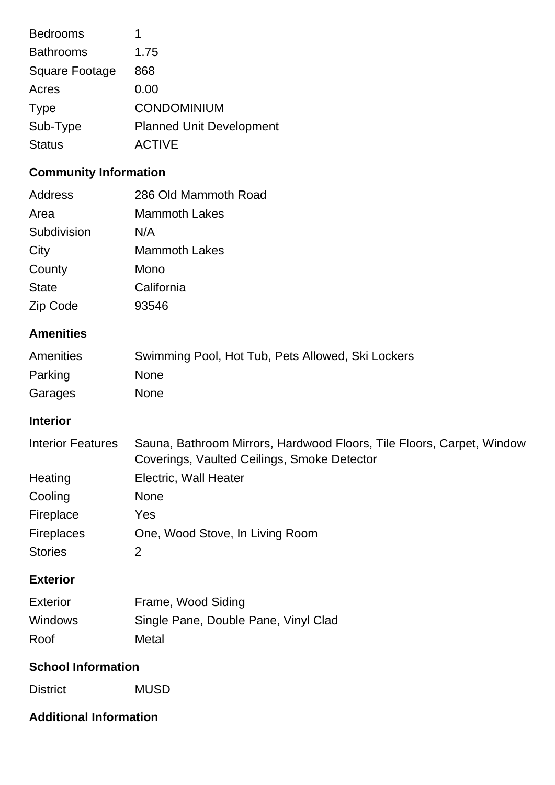| <b>Bedrooms</b>  |                                 |
|------------------|---------------------------------|
| <b>Bathrooms</b> | 1.75                            |
| Square Footage   | 868                             |
| Acres            | 0.00                            |
| <b>Type</b>      | <b>CONDOMINIUM</b>              |
| Sub-Type         | <b>Planned Unit Development</b> |
| <b>Status</b>    | <b>ACTIVE</b>                   |
|                  |                                 |

## **Community Information**

| Address<br>Area<br>Subdivision<br>City<br>County<br><b>State</b> | 286 Old Mammoth Road<br><b>Mammoth Lakes</b><br>N/A<br><b>Mammoth Lakes</b><br>Mono<br>California                                                            |  |
|------------------------------------------------------------------|--------------------------------------------------------------------------------------------------------------------------------------------------------------|--|
| Zip Code                                                         | 93546                                                                                                                                                        |  |
| <b>Amenities</b><br>Amenities<br>Parking<br>Garages              | Swimming Pool, Hot Tub, Pets Allowed, Ski Lockers<br><b>None</b><br><b>None</b>                                                                              |  |
| <b>Interior</b>                                                  |                                                                                                                                                              |  |
| <b>Interior Features</b><br>Heating<br>Cooling                   | Sauna, Bathroom Mirrors, Hardwood Floors, Tile Floors, Carpet, Window<br>Coverings, Vaulted Ceilings, Smoke Detector<br>Electric, Wall Heater<br><b>None</b> |  |
| Fireplace<br>Fireplaces<br><b>Stories</b>                        | Yes<br>One, Wood Stove, In Living Room<br>$\overline{2}$                                                                                                     |  |
| <b>Exterior</b>                                                  |                                                                                                                                                              |  |
| <b>Exterior</b><br>Windows<br>Roof                               | Frame, Wood Siding<br>Single Pane, Double Pane, Vinyl Clad<br>Metal                                                                                          |  |
| <b>School Information</b>                                        |                                                                                                                                                              |  |
| <b>District</b>                                                  | <b>MUSD</b>                                                                                                                                                  |  |
| <b>Additional Information</b>                                    |                                                                                                                                                              |  |